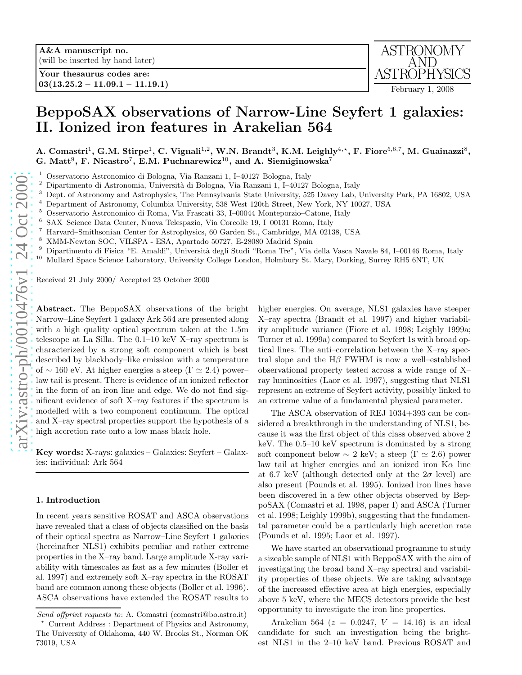

# BeppoSAX observations of Narrow-Line Seyfert 1 galaxies: II. Ionized iron features in Arakelian 564

A. Comastri<sup>1</sup>, G.M. Stirpe<sup>1</sup>, C. Vignali<sup>1,2</sup>, W.N. Brandt<sup>3</sup>, K.M. Leighly<sup>4,\*</sup>, F. Fiore<sup>5,6,7</sup>, M. Guainazzi<sup>8</sup>, G. Matt<sup>9</sup>, F. Nicastro<sup>7</sup>, E.M. Puchnarewicz<sup>10</sup>, and A. Siemiginowska<sup>7</sup>

- <sup>1</sup> Osservatorio Astronomico di Bologna, Via Ranzani 1, I–40127 Bologna, Italy <sup>2</sup> Dipartimento di Astronomia Il piversità di Bologna, Via Ranzani 1, I–40127
- 
- Dipartimento di Astronomia, Università di Bologna, Via Ranzani 1, I-40127 Bologna, Italy<br>Dept. of Astronomy and Astrophysics, The Pennsylvania State University, 525 Davey Lab, University Park, PA 16802, USA<br>Department of A
- 
- <sup>5</sup> Osservatorio Astronomico di Roma, Via Frascati 33, I–00044 Monteporzio–Catone, Italy
- 6 SAX–Science Data Center, Nuova Telespazio, Via Corcolle 19, I–00131 Roma, Italy
- <sup>7</sup> Harvard–Smithsonian Center for Astrophysics, 60 Garden St., Cambridge, MA 02138, USA
- <sup>8</sup> XMM-Newton SOC, VILSPA ESA, Apartado 50727, E-28080 Madrid Spain
- Dipartimento di Fisica "E. Amaldi", Università degli Studi "Roma Tre", Via della Vasca Navale 84, I–00146 Roma, Italy
- <sup>10</sup> Mullard Space Science Laboratory, University College London, Holmbury St. Mary, Dorking, Surrey RH5 6NT, UK

Received 21 July 2000/ Accepted 23 October 2000

Abstract. The BeppoSAX observations of the bright Narrow–Line Seyfert 1 galaxy Ark 564 are presented along with a high quality optical spectrum taken at the 1.5m telescope at La Silla. The 0.1–10 keV X–ray spectrum is characterized by a strong soft component which is best described by blackbody–like emission with a temperature of  $\sim$  160 eV. At higher energies a steep ( $\Gamma \simeq 2.4$ ) power– law tail is present. There is evidence of an ionized reflector in the form of an iron line and edge. We do not find significant evidence of soft X–ray features if the spectrum is modelled with a two component continuum. The optical and X–ray spectral properties support the hypothesis of a high accretion rate onto a low mass black hole.

Key words: X-rays: galaxies – Galaxies: Seyfert – Galaxies: individual: Ark 564

## 1. Introduction

In recent years sensitive ROSAT and ASCA observations have revealed that a class of objects classified on the basis of their optical spectra as Narrow–Line Seyfert 1 galaxies (hereinafter NLS1) exhibits peculiar and rather extreme properties in the X–ray band. Large amplitude X-ray variability with timescales as fast as a few minutes (Boller et al. 1997) and extremely soft X–ray spectra in the ROSAT band are common among these objects (Boller et al. 1996). ASCA observations have extended the ROSAT results to

higher energies. On average, NLS1 galaxies have steeper X–ray spectra (Brandt et al. 1997) and higher variability amplitude variance (Fiore et al. 1998; Leighly 1999a; Turner et al. 1999a) compared to Seyfert 1s with broad optical lines. The anti–correlation between the X–ray spectral slope and the  $H\beta$  FWHM is now a well–established observational property tested across a wide range of X– ray luminosities (Laor et al. 1997), suggesting that NLS1 represent an extreme of Seyfert activity, possibly linked t o an extreme value of a fundamental physical parameter.

The ASCA observation of REJ 1034+393 can be considered a breakthrough in the understanding of NLS1, because it was the first object of this class observed above 2 keV. The 0.5–10 keV spectrum is dominated by a strong soft component below  $\sim 2$  keV; a steep ( $\Gamma \simeq 2.6$ ) power law tail at higher energies and an ionized iron  $K\alpha$  line at 6.7 keV (although detected only at the  $2\sigma$  level) are also present (Pounds et al. 1995). Ionized iron lines have been discovered in a few other objects observed by BeppoSAX (Comastri et al. 1998, paper I) and ASCA (Turner et al. 1998; Leighly 1999b), suggesting that the fundamental parameter could be a particularly high accretion rate (Pounds et al. 1995; Laor et al. 1997).

We have started an observational programme to study a sizeable sample of NLS1 with BeppoSAX with the aim of investigating the broad band X–ray spectral and variability properties of these objects. We are taking advantage of the increased effective area at high energies, especially above 5 keV, where the MECS detectors provide the best opportunity to investigate the iron line properties.

Arakelian 564 ( $z = 0.0247, V = 14.16$ ) is an ideal candidate for such an investigation being the brightest NLS1 in the 2–10 keV band. Previous ROSAT and

Send offprint requests to: A. Comastri (comastri@bo.astro.it)

<sup>⋆</sup> Current Address : Department of Physics and Astronomy, The University of Oklahoma, 440 W. Brooks St., Norman OK 73019, USA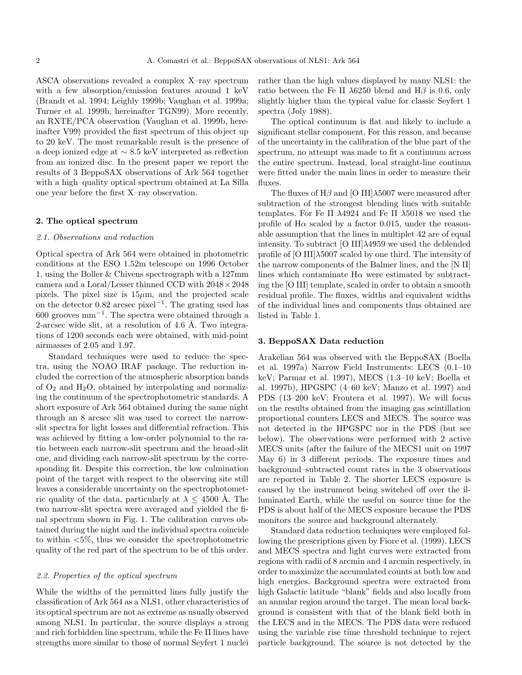ASCA observations revealed a complex X–ray spectrum with a few absorption/emission features around 1 keV (Brandt et al. 1994; Leighly 1999b; Vaughan et al. 1999a; Turner et al. 1999b, hereinafter TGN99). More recently, an RXTE/PCA observation (Vaughan et al. 1999b, hereinafter V99) provided the first spectrum of this object up to 20 keV. The most remarkable result is the presence of a deep ionized edge at ∼ 8.5 keV interpreted as reflection from an ionized disc. In the present paper we report the results of 3 BeppoSAX observations of Ark 564 together with a high–quality optical spectrum obtained at La Silla one year before the first X–ray observation.

## 2. The optical spectrum

### 2.1. Observations and reduction

Optical spectra of Ark 564 were obtained in photometric conditions at the ESO 1.52m telescope on 1996 October 1, using the Boller & Chivens spectrograph with a 127mm camera and a Loral/Lesser thinned CCD with 2048×2048 pixels. The pixel size is  $15\mu$ m, and the projected scale on the detector 0.82 arcsec pixel<sup>−</sup><sup>1</sup> . The grating used has 600 grooves mm<sup>−</sup><sup>1</sup> . The spectra were obtained through a 2-arcsec wide slit, at a resolution of  $4.6$  Å. Two integrations of 1200 seconds each were obtained, with mid-point airmasses of 2.05 and 1.97.

Standard techniques were used to reduce the spectra, using the NOAO IRAF package. The reduction included the correction of the atmospheric absorption bands of  $O_2$  and  $H_2O$ , obtained by interpolating and normalizing the continuum of the spectrophotometric standards. A short exposure of Ark 564 obtained during the same night through an 8 arcsec slit was used to correct the narrowslit spectra for light losses and differential refraction. This was achieved by fitting a low-order polynomial to the ratio between each narrow-slit spectrum and the broad-slit one, and dividing each narrow-slit spectrum by the corresponding fit. Despite this correction, the low culmination point of the target with respect to the observing site still leaves a considerable uncertainty on the spectrophotometric quality of the data, particularly at  $\lambda \leq 4500$  Å. The two narrow-slit spectra were averaged and yielded the final spectrum shown in Fig. 1. The calibration curves obtained during the night and the individual spectra coincide to within  $\langle 5\%,$  thus we consider the spectrophotometric quality of the red part of the spectrum to be of this order.

## 2.2. Properties of the optical spectrum

While the widths of the permitted lines fully justify the classification of Ark 564 as a NLS1, other characteristics of its optical spectrum are not as extreme as usually observed among NLS1. In particular, the source displays a strong and rich forbidden line spectrum, while the Fe II lines have strengths more similar to those of normal Seyfert 1 nuclei

rather than the high values displayed by many NLS1: the ratio between the Fe II  $\lambda$ 6250 blend and H $\beta$  is 0.6, only slightly higher than the typical value for classic Seyfert 1 spectra (Joly 1988).

The optical continuum is flat and likely to include a significant stellar component. For this reason, and because of the uncertainty in the calibration of the blue part of the spectrum, no attempt was made to fit a continuum across the entire spectrum. Instead, local straight-line continua were fitted under the main lines in order to measure their fluxes.

The fluxes of  $H\beta$  and [O III] $\lambda$ 5007 were measured after subtraction of the strongest blending lines with suitable templates. For Fe II  $\lambda$ 4924 and Fe II  $\lambda$ 5018 we used the profile of  $H\alpha$  scaled by a factor 0.015, under the reasonable assumption that the lines in multiplet 42 are of equal intensity. To subtract [O III] $\lambda$ 4959 we used the deblended profile of [O III] $\lambda$ 5007 scaled by one third. The intensity of the narrow components of the Balmer lines, and the [N II] lines which contaminate  $H\alpha$  were estimated by subtracting the [O III] template, scaled in order to obtain a smooth residual profile. The fluxes, widths and equivalent widths of the individual lines and components thus obtained are listed in Table 1.

## 3. BeppoSAX Data reduction

Arakelian 564 was observed with the BeppoSAX (Boella et al. 1997a) Narrow Field Instruments: LECS (0.1–10 keV; Parmar et al. 1997), MECS (1.3–10 keV; Boella et al. 1997b), HPGSPC (4–60 keV; Manzo et al. 1997) and PDS (13–200 keV; Frontera et al. 1997). We will focus on the results obtained from the imaging gas scintillation proportional counters LECS and MECS. The source was not detected in the HPGSPC nor in the PDS (but see below). The observations were performed with 2 active MECS units (after the failure of the MECS1 unit on 1997 May 6) in 3 different periods. The exposure times and background–subtracted count rates in the 3 observations are reported in Table 2. The shorter LECS exposure is caused by the instrument being switched off over the illuminated Earth, while the useful on–source time for the PDS is about half of the MECS exposure because the PDS monitors the source and background alternately.

Standard data reduction techniques were employed following the prescriptions given by Fiore et al. (1999). LECS and MECS spectra and light curves were extracted from regions with radii of 8 arcmin and 4 arcmin respectively, in order to maximize the accumulated counts at both low and high energies. Background spectra were extracted from high Galactic latitude "blank" fields and also locally from an annular region around the target. The mean local background is consistent with that of the blank field both in the LECS and in the MECS. The PDS data were reduced using the variable rise time threshold technique to reject particle background. The source is not detected by the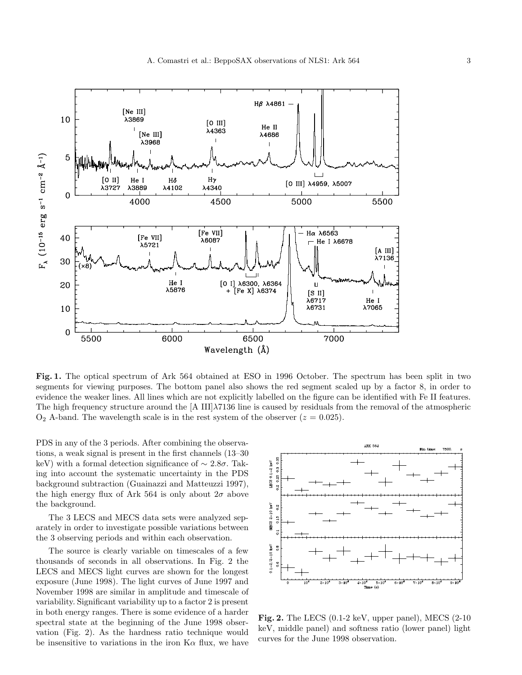

Fig. 1. The optical spectrum of Ark 564 obtained at ESO in 1996 October. The spectrum has been split in two segments for viewing purposes. The bottom panel also shows the red segment scaled up by a factor 8, in order to evidence the weaker lines. All lines which are not explicitly labelled on the figure can be identified with Fe II features. The high frequency structure around the [A III] $\lambda$ 7136 line is caused by residuals from the removal of the atmospheric  $O_2$  A-band. The wavelength scale is in the rest system of the observer  $(z = 0.025)$ .

PDS in any of the 3 periods. After combining the observations, a weak signal is present in the first channels (13–30 keV) with a formal detection significance of  $\sim 2.8\sigma$ . Taking into account the systematic uncertainty in the PDS background subtraction (Guainazzi and Matteuzzi 1997), the high energy flux of Ark 564 is only about  $2\sigma$  above the background.

The 3 LECS and MECS data sets were analyzed separately in order to investigate possible variations between the 3 observing periods and within each observation.

The source is clearly variable on timescales of a few thousands of seconds in all observations. In Fig. 2 the LECS and MECS light curves are shown for the longest exposure (June 1998). The light curves of June 1997 and November 1998 are similar in amplitude and timescale of variability. Significant variability up to a factor 2 is present in both energy ranges. There is some evidence of a harder spectral state at the beginning of the June 1998 observation (Fig. 2). As the hardness ratio technique would be insensitive to variations in the iron  $K\alpha$  flux, we have



Fig. 2. The LECS (0.1-2 keV, upper panel), MECS (2-10 keV, middle panel) and softness ratio (lower panel) light curves for the June 1998 observation.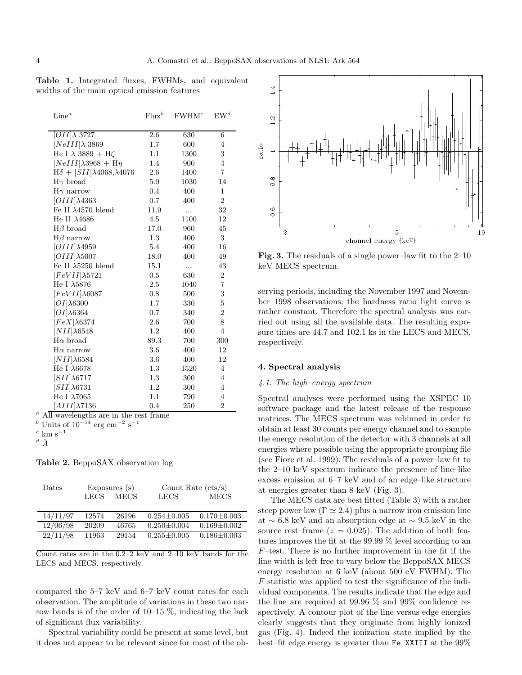Table 1. Integrated fluxes, FWHMs, and equivalent widths of the main optical emission features

| Line <sup>a</sup>                           | $Flux^b$ | FWHM <sup>c</sup> | $EW^d$         |
|---------------------------------------------|----------|-------------------|----------------|
|                                             |          |                   |                |
| $[OII]\lambda$ 3727                         | 2.6      | 630               | 6              |
| $[NeIII]\lambda$ 3869                       | 1.7      | 600               | 4              |
| He I $\lambda$ 3889 + H $\zeta$             | 1.1      | 1300              | 3              |
| $[NeIII]\lambda 3968 + H\eta$               | 1.4      | 900               | 4              |
| $H\delta + [SII]\lambda 4068, \lambda 4076$ | 2.6      | 1400              | $\overline{7}$ |
| $H\gamma$ broad                             | 5.0      | 1030              | 14             |
| $H\gamma$ narrow                            | 0.4      | 400               | 1              |
| $[OIII]\lambda4363$                         | 0.7      | 400               | $\overline{2}$ |
| Fe II $\lambda$ 4570 blend                  | 11.9     | .                 | 32             |
| He II $\lambda$ 4686                        | 4.5      | 1100              | 12             |
| $H\beta$ broad                              | 17.0     | 960               | 45             |
| $H\beta$ narrow                             | 1.3      | 400               | 3              |
| $[OIII]\lambda 4959$                        | 5.4      | 400               | 16             |
| $[OIII]\lambda5007$                         | 18.0     | 400               | 49             |
| Fe II $\lambda$ 5250 blend                  | 15.1     | .                 | 43             |
| $[FeVII]\lambda 5721$                       | 0.5      | 630               | $\overline{2}$ |
| He I $\lambda$ 5876                         | $2.5\,$  | 1040              | 7              |
| $[FeVII]\lambda 6087$                       | 0.8      | 500               | 3              |
| $[OI]\lambda6300$                           | 1.7      | 330               | $\overline{5}$ |
| $[OI]\lambda 6364$                          | 0.7      | 340               | $\overline{2}$ |
| $[FeX]\lambda 6374$                         | 2.6      | 700               | 8              |
| $[NII]\lambda 6548$                         | 1.2      | 400               | $\overline{4}$ |
| $H\alpha$ broad                             | 89.3     | 700               | 300            |
| $H\alpha$ narrow                            | 3.6      | 400               | 12             |
| $[NII]\lambda 6584$                         | 3.6      | 400               | 12             |
| He I $\lambda6678$                          | 1.3      | 1520              | $\overline{4}$ |
| $[SII]\lambda 6717$                         | 1.3      | 300               | $\overline{4}$ |
| $[SII]\lambda 6731$                         | 1.2      | 300               | $\overline{4}$ |
| He I $\lambda$ 7065                         | 1.1      | 790               | $\overline{4}$ |
| $[AlII]\lambda 7136$                        | 0.4      | 250               | $\overline{2}$ |

<sup>a</sup> All wavelengths are in the rest frame

<sup>b</sup> Units of  $10^{-14}$  erg cm<sup>-2</sup> s<sup>-1</sup>

 $\overset{d}{A}$ 

Table 2. BeppoSAX observation log

| Dates    | Exposures $(s)$ |             |                   | Count Rate $(\text{cts/s})$ |  |  |
|----------|-----------------|-------------|-------------------|-----------------------------|--|--|
|          | LECS            | <b>MECS</b> | LECS              | <b>MECS</b>                 |  |  |
|          |                 |             |                   |                             |  |  |
| 14/11/97 | 12574           | 26196       | $0.254 \pm 0.005$ | $0.170 \pm 0.003$           |  |  |
| 12/06/98 | 20209           | 46765       | $0.250 \pm 0.004$ | $0.169 \pm 0.002$           |  |  |
| 22/11/98 | 11963           | 29154       | $0.255 \pm 0.005$ | $0.186 \pm 0.003$           |  |  |

Count rates are in the 0.2–2 keV and 2–10 keV bands for the LECS and MECS, respectively.

compared the 5–7 keV and 6–7 keV count rates for each observation. The amplitude of variations in these two narrow bands is of the order of 10–15 %, indicating the lack of significant flux variability.

Spectral variability could be present at some level, but it does not appear to be relevant since for most of the ob-



Fig. 3. The residuals of a single power–law fit to the 2–10 keV MECS spectrum.

serving periods, including the November 1997 and November 1998 observations, the hardness ratio light curve is rather constant. Therefore the spectral analysis was carried out using all the available data. The resulting exposure times are 44.7 and 102.1 ks in the LECS and MECS, respectively.

## 4. Spectral analysis

### 4.1. The high–energy spectrum

Spectral analyses were performed using the XSPEC 10 software package and the latest release of the response matrices. The MECS spectrum was rebinned in order to obtain at least 30 counts per energy channel and to sample the energy resolution of the detector with 3 channels at all energies where possible using the appropriate grouping file (see Fiore et al. 1999). The residuals of a power–law fit to the 2–10 keV spectrum indicate the presence of line–like excess emission at 6–7 keV and of an edge–like structure at energies greater than 8 keV (Fig. 3).

The MECS data are best fitted (Table 3) with a rather steep power law  $(\Gamma \simeq 2.4)$  plus a narrow iron emission line at ∼ 6.8 keV and an absorption edge at ∼ 9.5 keV in the source rest–frame  $(z = 0.025)$ . The addition of both features improves the fit at the 99.99 % level according to an F–test. There is no further improvement in the fit if the line width is left free to vary below the BeppoSAX MECS energy resolution at 6 keV (about 500 eV FWHM). The  $F$  statistic was applied to test the significance of the individual components. The results indicate that the edge and the line are required at 99.96 % and 99% confidence respectively. A contour plot of the line versus edge energies clearly suggests that they originate from highly ionized gas (Fig. 4). Indeed the ionization state implied by the best–fit edge energy is greater than Fe XXIII at the 99%

c km s<sup>−</sup><sup>1</sup>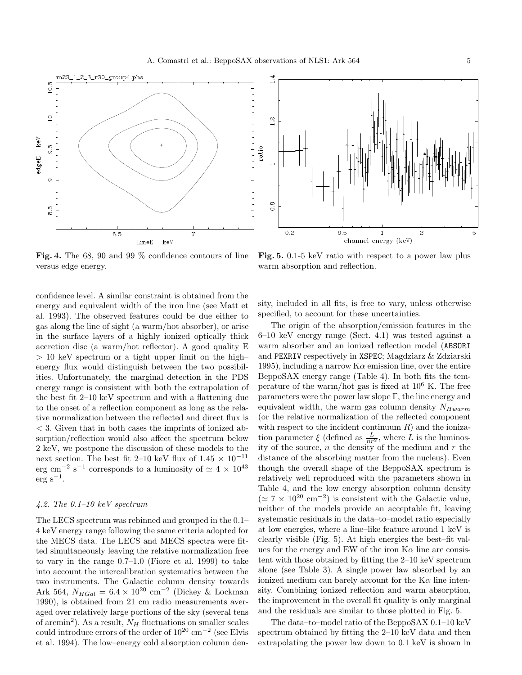



Fig. 4. The 68, 90 and 99 % confidence contours of line versus edge energy.

Fig. 5. 0.1-5 keV ratio with respect to a power law plus warm absorption and reflection.

confidence level. A similar constraint is obtained from the energy and equivalent width of the iron line (see Matt et al. 1993). The observed features could be due either to gas along the line of sight (a warm/hot absorber), or arise in the surface layers of a highly ionized optically thick accretion disc (a warm/hot reflector). A good quality E > 10 keV spectrum or a tight upper limit on the high– energy flux would distinguish between the two possibilities. Unfortunately, the marginal detection in the PDS energy range is consistent with both the extrapolation of the best fit 2–10 keV spectrum and with a flattening due to the onset of a reflection component as long as the relative normalization between the reflected and direct flux is < 3. Given that in both cases the imprints of ionized absorption/reflection would also affect the spectrum below 2 keV, we postpone the discussion of these models to the next section. The best fit 2–10 keV flux of 1.45  $\times$  10<sup>-11</sup> erg cm<sup>-2</sup> s<sup>-1</sup> corresponds to a luminosity of  $\simeq 4 \times 10^{43}$  $erg s^{-1}$ .

# 4.2. The  $0.1-10~keV$  spectrum

The LECS spectrum was rebinned and grouped in the 0.1– 4 keV energy range following the same criteria adopted for the MECS data. The LECS and MECS spectra were fitted simultaneously leaving the relative normalization free to vary in the range 0.7–1.0 (Fiore et al. 1999) to take into account the intercalibration systematics between the two instruments. The Galactic column density towards Ark 564,  $N_{HGal} = 6.4 \times 10^{20}$  cm<sup>-2</sup> (Dickey & Lockman 1990), is obtained from 21 cm radio measurements averaged over relatively large portions of the sky (several tens of arcmin<sup>2</sup>). As a result,  $N_H$  fluctuations on smaller scales could introduce errors of the order of  $10^{20}$  cm<sup>-2</sup> (see Elvis et al. 1994). The low–energy cold absorption column density, included in all fits, is free to vary, unless otherwise specified, to account for these uncertainties.

The origin of the absorption/emission features in the 6–10 keV energy range (Sect. 4.1) was tested against a warm absorber and an ionized reflection model (ABSORI and PEXRIV respectively in XSPEC; Magdziarz & Zdziarski 1995), including a narrow  $K\alpha$  emission line, over the entire BeppoSAX energy range (Table 4). In both fits the temperature of the warm/hot gas is fixed at  $10^6$  K. The free parameters were the power law slope Γ, the line energy and equivalent width, the warm gas column density  $N_{Hwarm}$ (or the relative normalization of the reflected component with respect to the incident continuum  $R$ ) and the ionization parameter  $\xi$  (defined as  $\frac{L}{nr^2}$ , where L is the luminosity of the source,  $n$  the density of the medium and  $r$  the distance of the absorbing matter from the nucleus). Even though the overall shape of the BeppoSAX spectrum is relatively well reproduced with the parameters shown in Table 4, and the low energy absorption column density  $(≥ 7 × 10<sup>20</sup> cm<sup>-2</sup>)$  is consistent with the Galactic value, neither of the models provide an acceptable fit, leaving systematic residuals in the data–to–model ratio especially at low energies, where a line–like feature around 1 keV is clearly visible (Fig. 5). At high energies the best–fit values for the energy and EW of the iron  $K\alpha$  line are consistent with those obtained by fitting the 2–10 keV spectrum alone (see Table 3). A single power law absorbed by an ionized medium can barely account for the  $K\alpha$  line intensity. Combining ionized reflection and warm absorption, the improvement in the overall fit quality is only marginal and the residuals are similar to those plotted in Fig. 5.

The data–to–model ratio of the BeppoSAX 0.1–10 keV spectrum obtained by fitting the 2–10 keV data and then extrapolating the power law down to 0.1 keV is shown in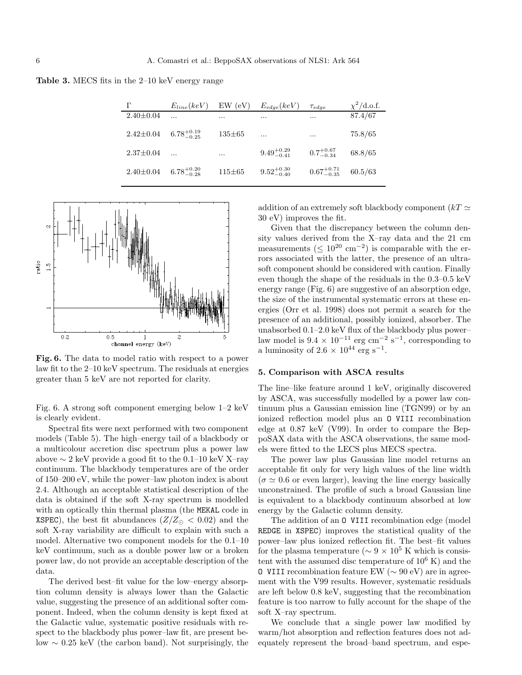Table 3. MECS fits in the 2–10 keV energy range

| г               | $E_{line}(keV)$        | (eV)<br>EW   | $E_{edge}(keV)$        | Tedge                  | $\chi^2$ /d.o.f. |
|-----------------|------------------------|--------------|------------------------|------------------------|------------------|
| $2.40 \pm 0.04$ | $\ddotsc$              |              |                        | $\cdots$               | 87.4/67          |
| $2.42 \pm 0.04$ | $6.78^{+0.19}_{-0.25}$ | $135 \pm 65$ | $\cdots$               | $\cdots$               | 75.8/65          |
| $2.37 \pm 0.04$ | $\ddotsc$              | $\cdots$     | $9.49^{+0.29}_{-0.41}$ | $0.7^{+0.67}_{-0.34}$  | 68.8/65          |
| $2.40 \pm 0.04$ | $6.78^{+0.20}_{-0.28}$ | $115 \pm 65$ | $9.52^{+0.30}_{-0.40}$ | $0.67^{+0.71}_{-0.35}$ | 60.5/63          |



Fig. 6. The data to model ratio with respect to a power law fit to the 2–10 keV spectrum. The residuals at energies greater than 5 keV are not reported for clarity.

Fig. 6. A strong soft component emerging below 1–2 keV is clearly evident.

Spectral fits were next performed with two component models (Table 5). The high–energy tail of a blackbody or a multicolour accretion disc spectrum plus a power law above  $\sim 2 \text{ keV}$  provide a good fit to the 0.1–10 keV X–ray continuum. The blackbody temperatures are of the order of 150–200 eV, while the power–law photon index is about 2.4. Although an acceptable statistical description of the data is obtained if the soft X-ray spectrum is modelled with an optically thin thermal plasma (the MEKAL code in XSPEC), the best fit abundances ( $Z/Z_{\odot} < 0.02$ ) and the soft X-ray variability are difficult to explain with such a model. Alternative two component models for the 0.1–10 keV continuum, such as a double power law or a broken power law, do not provide an acceptable description of the data.

The derived best–fit value for the low–energy absorption column density is always lower than the Galactic value, suggesting the presence of an additional softer component. Indeed, when the column density is kept fixed at the Galactic value, systematic positive residuals with respect to the blackbody plus power–law fit, are present below ∼ 0.25 keV (the carbon band). Not surprisingly, the addition of an extremely soft blackbody component ( $kT \simeq$ 30 eV) improves the fit.

Given that the discrepancy between the column density values derived from the X–ray data and the 21 cm measurements ( $\leq 10^{20}$  cm<sup>-2</sup>) is comparable with the errors associated with the latter, the presence of an ultrasoft component should be considered with caution. Finally even though the shape of the residuals in the 0.3–0.5 keV energy range (Fig. 6) are suggestive of an absorption edge, the size of the instrumental systematic errors at these energies (Orr et al. 1998) does not permit a search for the presence of an additional, possibly ionized, absorber. The unabsorbed 0.1–2.0 keV flux of the blackbody plus power– law model is  $9.4 \times 10^{-11}$  erg cm<sup>-2</sup> s<sup>-1</sup>, corresponding to a luminosity of  $2.6 \times 10^{44}$  erg s<sup>-1</sup>.

#### 5. Comparison with ASCA results

The line–like feature around 1 keV, originally discovered by ASCA, was successfully modelled by a power law continuum plus a Gaussian emission line (TGN99) or by an ionized reflection model plus an O VIII recombination edge at 0.87 keV (V99). In order to compare the BeppoSAX data with the ASCA observations, the same models were fitted to the LECS plus MECS spectra.

The power law plus Gaussian line model returns an acceptable fit only for very high values of the line width  $(\sigma \simeq 0.6$  or even larger), leaving the line energy basically unconstrained. The profile of such a broad Gaussian line is equivalent to a blackbody continuum absorbed at low energy by the Galactic column density.

The addition of an O VIII recombination edge (model REDGE in XSPEC) improves the statistical quality of the power–law plus ionized reflection fit. The best–fit values for the plasma temperature ( $\sim 9 \times 10^5$  K which is consistent with the assumed disc temperature of  $10^6$  K) and the O VIII recombination feature EW (∼ 90 eV) are in agreement with the V99 results. However, systematic residuals are left below 0.8 keV, suggesting that the recombination feature is too narrow to fully account for the shape of the soft X–ray spectrum.

We conclude that a single power law modified by warm/hot absorption and reflection features does not adequately represent the broad–band spectrum, and espe-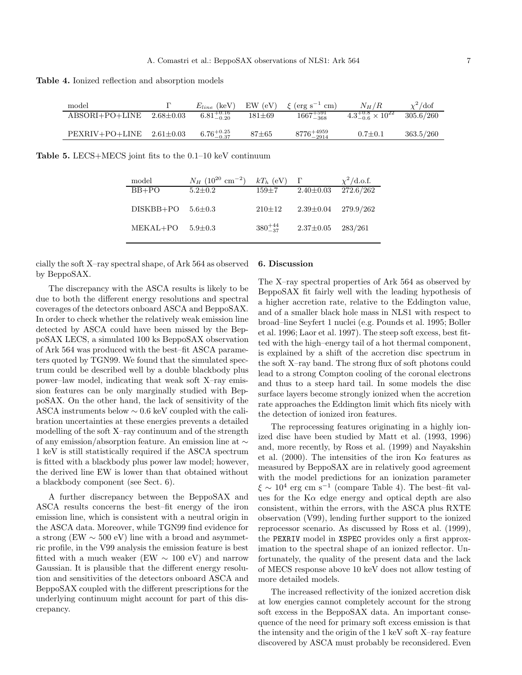Table 4. Ionized reflection and absorption models

| model                            | $E_{line}$ (keV)       |              | EW (eV) $\xi$ (erg s <sup>-1</sup> cm) | $N_H/R$                          | $\chi^2/\text{dof}$ |
|----------------------------------|------------------------|--------------|----------------------------------------|----------------------------------|---------------------|
| $ABSORI+PO+LINE$ 2.68 $\pm$ 0.03 | $6.81^{+0.16}_{-0.20}$ | $181 \pm 69$ | $1667^{+591}_{-368}$                   | $4.3^{+0.8}_{-0.6}\times10^{22}$ | 305.6/260           |
| $PEXRIV+PO+LINE$ 2.61 $\pm$ 0.03 | $6.76^{+0.25}_{-0.37}$ | $87 + 65$    | $8776^{+4959}_{-2914}$                 | $0.7 \pm 0.1$                    | 363.5/260           |

Table 5. LECS+MECS joint fits to the 0.1–10 keV continuum

| model       | $N_H$ (10 <sup>20</sup> cm <sup>-2</sup> ) | $kT_h$ (eV)       |                 | $\chi^2$ /d.o.f. |
|-------------|--------------------------------------------|-------------------|-----------------|------------------|
| $BB+PO$     | $5.2 \pm 0.2$                              | $159 \pm 7$       | $2.40 \pm 0.03$ | 272.6/262        |
|             |                                            |                   |                 |                  |
| $DISKBB+PO$ | $5.6 \pm 0.3$                              | $210 \pm 12$      | $2.39 \pm 0.04$ | 279.9/262        |
|             |                                            |                   |                 |                  |
| MEKAL+PO    | $5.9 \pm 0.3$                              | $380^{+44}_{-37}$ | $2.37 \pm 0.05$ | 283/261          |
|             |                                            |                   |                 |                  |
|             |                                            |                   |                 |                  |

cially the soft X–ray spectral shape, of Ark 564 as observed by BeppoSAX.

The discrepancy with the ASCA results is likely to be due to both the different energy resolutions and spectral coverages of the detectors onboard ASCA and BeppoSAX. In order to check whether the relatively weak emission line detected by ASCA could have been missed by the BeppoSAX LECS, a simulated 100 ks BeppoSAX observation of Ark 564 was produced with the best–fit ASCA parameters quoted by TGN99. We found that the simulated spectrum could be described well by a double blackbody plus power–law model, indicating that weak soft X–ray emission features can be only marginally studied with BeppoSAX. On the other hand, the lack of sensitivity of the ASCA instruments below ∼ 0.6 keV coupled with the calibration uncertainties at these energies prevents a detailed modelling of the soft X–ray continuum and of the strength of any emission/absorption feature. An emission line at ∼ 1 keV is still statistically required if the ASCA spectrum is fitted with a blackbody plus power law model; however, the derived line EW is lower than that obtained without a blackbody component (see Sect. 6).

A further discrepancy between the BeppoSAX and ASCA results concerns the best–fit energy of the iron emission line, which is consistent with a neutral origin in the ASCA data. Moreover, while TGN99 find evidence for a strong (EW  $\sim$  500 eV) line with a broad and asymmetric profile, in the V99 analysis the emission feature is best fitted with a much weaker (EW  $\sim 100$  eV) and narrow Gaussian. It is plausible that the different energy resolution and sensitivities of the detectors onboard ASCA and BeppoSAX coupled with the different prescriptions for the underlying continuum might account for part of this discrepancy.

#### 6. Discussion

The X–ray spectral properties of Ark 564 as observed by BeppoSAX fit fairly well with the leading hypothesis of a higher accretion rate, relative to the Eddington value, and of a smaller black hole mass in NLS1 with respect to broad–line Seyfert 1 nuclei (e.g. Pounds et al. 1995; Boller et al. 1996; Laor et al. 1997). The steep soft excess, best fitted with the high–energy tail of a hot thermal component, is explained by a shift of the accretion disc spectrum in the soft X–ray band. The strong flux of soft photons could lead to a strong Compton cooling of the coronal electrons and thus to a steep hard tail. In some models the disc surface layers become strongly ionized when the accretion rate approaches the Eddington limit which fits nicely with the detection of ionized iron features.

The reprocessing features originating in a highly ionized disc have been studied by Matt et al. (1993, 1996) and, more recently, by Ross et al. (1999) and Nayakshin et al. (2000). The intensities of the iron  $K\alpha$  features as measured by BeppoSAX are in relatively good agreement with the model predictions for an ionization parameter  $\xi \sim 10^4$  erg cm s<sup>-1</sup> (compare Table 4). The best-fit values for the  $K\alpha$  edge energy and optical depth are also consistent, within the errors, with the ASCA plus RXTE observation (V99), lending further support to the ionized reprocessor scenario. As discussed by Ross et al. (1999), the PEXRIV model in XSPEC provides only a first approximation to the spectral shape of an ionized reflector. Unfortunately, the quality of the present data and the lack of MECS response above 10 keV does not allow testing of more detailed models.

The increased reflectivity of the ionized accretion disk at low energies cannot completely account for the strong soft excess in the BeppoSAX data. An important consequence of the need for primary soft excess emission is that the intensity and the origin of the 1 keV soft X–ray feature discovered by ASCA must probably be reconsidered. Even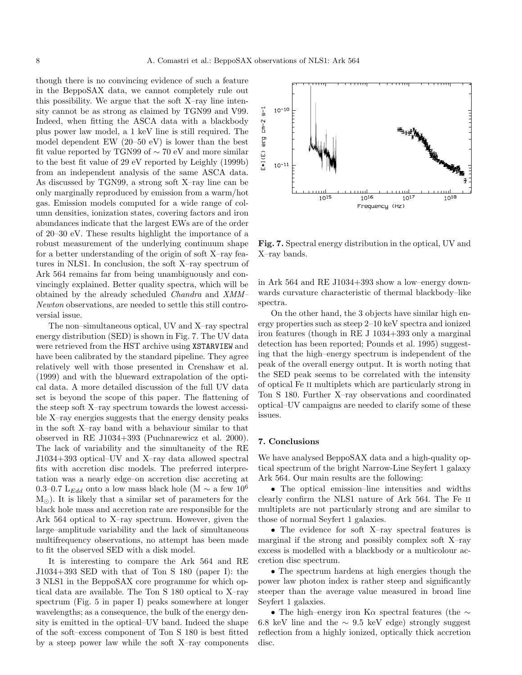though there is no convincing evidence of such a feature in the BeppoSAX data, we cannot completely rule out this possibility. We argue that the soft X–ray line intensity cannot be as strong as claimed by TGN99 and V99. Indeed, when fitting the ASCA data with a blackbody plus power law model, a 1 keV line is still required. The model dependent EW (20–50 eV) is lower than the best fit value reported by TGN99 of ∼ 70 eV and more similar to the best fit value of 29 eV reported by Leighly (1999b) from an independent analysis of the same ASCA data. As discussed by TGN99, a strong soft X–ray line can be only marginally reproduced by emission from a warm/hot gas. Emission models computed for a wide range of column densities, ionization states, covering factors and iron abundances indicate that the largest EWs are of the order of 20–30 eV. These results highlight the importance of a robust measurement of the underlying continuum shape for a better understanding of the origin of soft X–ray features in NLS1. In conclusion, the soft X–ray spectrum of Ark 564 remains far from being unambiguously and convincingly explained. Better quality spectra, which will be obtained by the already scheduled Chandra and XMM– Newton observations, are needed to settle this still controversial issue.

The non–simultaneous optical, UV and X–ray spectral energy distribution (SED) is shown in Fig. 7. The UV data were retrieved from the HST archive using XSTARVIEW and have been calibrated by the standard pipeline. They agree relatively well with those presented in Crenshaw et al. (1999) and with the blueward extrapolation of the optical data. A more detailed discussion of the full UV data set is beyond the scope of this paper. The flattening of the steep soft X–ray spectrum towards the lowest accessible X–ray energies suggests that the energy density peaks in the soft X–ray band with a behaviour similar to that observed in RE J1034+393 (Puchnarewicz et al. 2000). The lack of variability and the simultaneity of the RE J1034+393 optical–UV and X–ray data allowed spectral fits with accretion disc models. The preferred interpretation was a nearly edge–on accretion disc accreting at 0.3–0.7 L<sub>Edd</sub> onto a low mass black hole (M  $\sim$  a few 10<sup>6</sup>  $M_{\odot}$ ). It is likely that a similar set of parameters for the black hole mass and accretion rate are responsible for the Ark 564 optical to X–ray spectrum. However, given the large–amplitude variability and the lack of simultaneous multifrequency observations, no attempt has been made to fit the observed SED with a disk model.

It is interesting to compare the Ark 564 and RE J1034+393 SED with that of Ton S 180 (paper I): the 3 NLS1 in the BeppoSAX core programme for which optical data are available. The Ton S 180 optical to X–ray spectrum (Fig. 5 in paper I) peaks somewhere at longer wavelengths; as a consequence, the bulk of the energy density is emitted in the optical–UV band. Indeed the shape of the soft–excess component of Ton S 180 is best fitted by a steep power law while the soft X–ray components



Fig. 7. Spectral energy distribution in the optical, UV and X–ray bands.

in Ark 564 and RE J1034+393 show a low–energy downwards curvature characteristic of thermal blackbody–like spectra.

On the other hand, the 3 objects have similar high energy properties such as steep 2–10 keV spectra and ionized iron features (though in RE J 1034+393 only a marginal detection has been reported; Pounds et al. 1995) suggesting that the high–energy spectrum is independent of the peak of the overall energy output. It is worth noting that the SED peak seems to be correlated with the intensity of optical Fe ii multiplets which are particularly strong in Ton S 180. Further X–ray observations and coordinated optical–UV campaigns are needed to clarify some of these issues.

#### 7. Conclusions

We have analysed BeppoSAX data and a high-quality optical spectrum of the bright Narrow-Line Seyfert 1 galaxy Ark 564. Our main results are the following:

• The optical emission–line intensities and widths clearly confirm the NLS1 nature of Ark 564. The Fe ii multiplets are not particularly strong and are similar to those of normal Seyfert 1 galaxies.

• The evidence for soft X–ray spectral features is marginal if the strong and possibly complex soft X–ray excess is modelled with a blackbody or a multicolour accretion disc spectrum.

• The spectrum hardens at high energies though the power law photon index is rather steep and significantly steeper than the average value measured in broad line Seyfert 1 galaxies.

• The high–energy iron K $\alpha$  spectral features (the  $\sim$ 6.8 keV line and the  $\sim 9.5$  keV edge) strongly suggest reflection from a highly ionized, optically thick accretion disc.